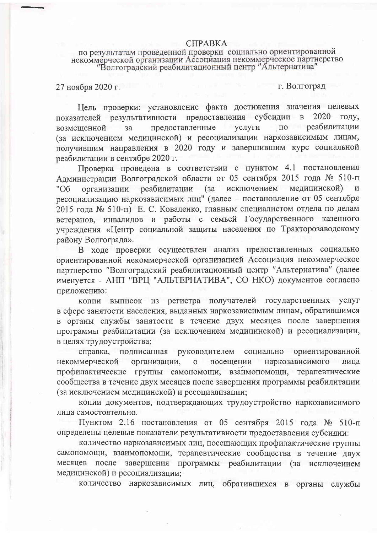## **CIIPABKA**

## по результатам проведенной проверки социально ориентированной некоммерческой организации Ассоциация некоммерческое партнерство "Волгоградский реабилитационный центр "Альтернатива"

27 ноября 2020 г.

г. Волгоград

Цель проверки: установление факта достижения значения целевых показателей результативности предоставления субсидии в 2020 году. по реабилитации возмешенной предоставленные услуги  $3a$ (за исключением медицинской) и ресоциализации наркозависимым лицам, получившим направления в 2020 году и завершившим курс социальной реабилитации в сентябре 2020 г.

Проверка проведена в соответствии с пунктом 4.1 постановления Администрации Волгоградской области от 05 сентября 2015 года № 510-п исключением мелицинской) реабилитации (за "Об организации ресоциализацию наркозависимых лиц" (далее - постановление от 05 сентября 2015 года № 510-п) Е. С. Коваленко, главным специалистом отдела по делам ветеранов, инвалидов и работы с семьей Государственного казенного учреждения «Центр социальной защиты населения по Тракторозаводскому району Волгограда».

В ходе проверки осуществлен анализ предоставленных социально ориентированной некоммерческой организацией Ассоциация некоммерческое партнерство "Волгоградский реабилитационный центр "Альтернатива" (далее именуется - АНП "ВРЦ "АЛЬТЕРНАТИВА", СО НКО) документов согласно приложению:

копии выписок из регистра получателей государственных услуг в сфере занятости населения, выданных наркозависимым лицам, обратившимся в органы службы занятости в течение двух месяцев после завершения программы реабилитации (за исключением медицинской) и ресоциализации, в целях трудоустройства;

справка, подписанная руководителем социально ориентированной некоммерческой организации, наркозависимого лица  $\mathbf{o}$ посещении взаимопомощи, терапевтические профилактические группы самопомощи, сообщества в течение двух месяцев после завершения программы реабилитации (за исключением медицинской) и ресоциализации:

копии документов, подтверждающих трудоустройство наркозависимого лица самостоятельно.

Пунктом 2.16 постановления от 05 сентября 2015 года № 510-п определены целевые показатели результативности предоставления субсидии:

количество наркозависимых лиц, посещающих профилактические группы самопомощи, взаимопомощи, терапевтические сообщества в течение двух месяцев после завершения программы реабилитации (за исключением медицинской) и ресоциализации;

количество наркозависимых лиц, обратившихся в органы службы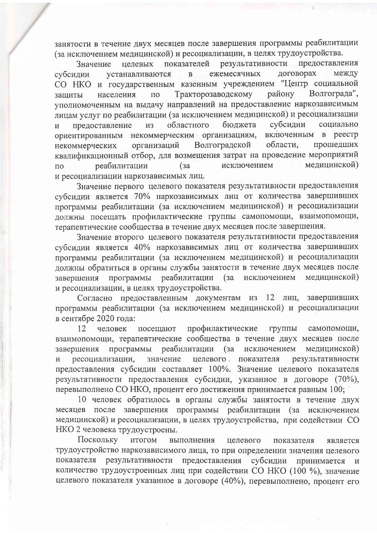занятости в течение двух месяцев после завершения программы реабилитации (за исключением медицинской) и ресоциализации, в целях трудоустройства.

результативности предоставления показателей Значение целевых логоворах между ежемесячных субсилии устанавливаются  $\overline{B}$ СО НКО и государственным казенным учреждением "Центр социальной Тракторозаводскому району Волгограда", населения  $\overline{10}$ зашиты уполномоченным на выдачу направлений на предоставление наркозависимым лицам услуг по реабилитации (за исключением медицинской) и ресоциализации бюджета субсидии социально областного предоставление **ИЗ**  $\overline{M}$ ориентированным некоммерческим организациям, включенным в реестр Волгоградской области. прошедших некоммерческих организаций квалификационный отбор, для возмещения затрат на проведение мероприятий исключением мелицинской) реабилитации  $(s<sub>a</sub>)$  $\overline{10}$ и ресоциализации наркозависимых лиц.

Значение первого целевого показателя результативности предоставления субсидии является 70% наркозависимых лиц от количества завершивших программы реабилитации (за исключением медицинской) и ресоциализации должны посещать профилактические группы самопомощи, взаимопомощи, терапевтические сообщества в течение двух месяцев после завершения.

Значение второго целевого показателя результативности предоставления субсидии является 40% наркозависимых лиц от количества завершивших программы реабилитации (за исключением медицинской) и ресоциализации должны обратиться в органы службы занятости в течение двух месяцев после программы реабилитации (за исключением медицинской) завершения и ресоциализации, в целях трудоустройства.

Согласно предоставленным документам из завершивших 12 лиц, программы реабилитации (за исключением медицинской) и ресоциализации в сентябре 2020 года:

12 человек посещают профилактические группы самопомощи, взаимопомощи, терапевтические сообщества в течение двух месяцев после исключением программы завершения реабилитации (за медицинской) ресоциализации, значение целевого показателя результативности  $\mathbf{M}$ предоставления субсидии составляет 100%. Значение целевого показателя результативности предоставления субсидии, указанное в договоре (70%), перевыполнено СО НКО, процент его достижения принимается равным 100;

10 человек обратилось в органы службы занятости в течение двух месяцев после завершения программы реабилитации (за исключением медицинской) и ресоциализации, в целях трудоустройства, при содействии СО НКО 2 человека трудоустроены.

Поскольку итогом выполнения целевого показателя является трудоустройство наркозависимого лица, то при определении значения целевого результативности предоставления субсидии принимается показателя  $\overline{M}$ количество трудоустроенных лиц при содействии СО НКО (100 %), значение целевого показателя указанное в договоре (40%), перевыполнено, процент его